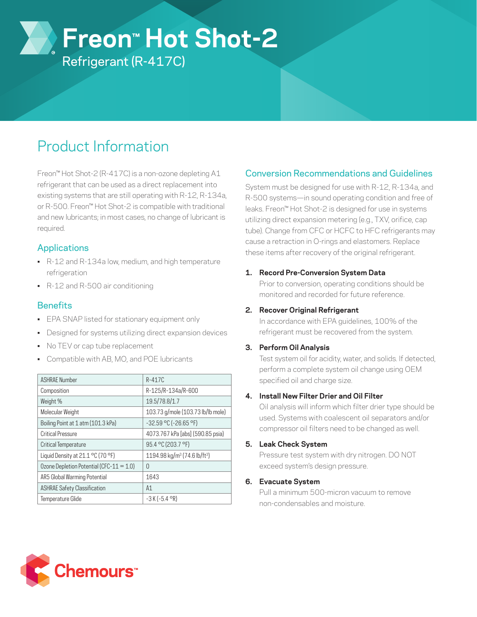**Freon™ Hot Shot-2**

Refrigerant (R-417C)

# Product Information

Freon™ Hot Shot-2 (R-417C) is a non-ozone depleting A1 refrigerant that can be used as a direct replacement into existing systems that are still operating with R-12, R-134a, or R-500. Freon™ Hot Shot-2 is compatible with traditional and new lubricants; in most cases, no change of lubricant is required.

# Applications

- R-12 and R-134a low, medium, and high temperature refrigeration
- R-12 and R-500 air conditioning

## **Benefits**

- EPA SNAP listed for stationary equipment only
- Designed for systems utilizing direct expansion devices
- No TEV or cap tube replacement
- Compatible with AB, MO, and POE lubricants

| <b>ASHRAE Number</b>                         | $R-417C$                                             |
|----------------------------------------------|------------------------------------------------------|
| Composition                                  | R-125/R-134a/R-600                                   |
| Weight %                                     | 19.5/78.8/1.7                                        |
| Molecular Weight                             | 103.73 g/mole (103.73 lb/lb mole)                    |
| Boiling Point at 1 atm (101.3 kPa)           | $-32.59$ °C (-26.65 °F)                              |
| <b>Critical Pressure</b>                     | 4073.767 kPa [abs] (590.85 psia)                     |
| Critical Temperature                         | 95.4 °C (203.7 °F)                                   |
| Liquid Density at 21.1 °C (70 °F)            | 1194.98 kg/m <sup>3</sup> (74.6 lb/ft <sup>3</sup> ) |
| Ozone Depletion Potential (CFC- $11 = 1.0$ ) | U                                                    |
| AR5 Global Warming Potential                 | 1643                                                 |
| <b>ASHRAE Safety Classification</b>          | A1                                                   |
| Temperature Glide                            | $-3 K (-5.4 \text{ }^{\circ}R)$                      |

# Conversion Recommendations and Guidelines

System must be designed for use with R-12, R-134a, and R-500 systems—in sound operating condition and free of leaks. Freon™ Hot Shot-2 is designed for use in systems utilizing direct expansion metering (e.g., TXV, orifice, cap tube). Change from CFC or HCFC to HFC refrigerants may cause a retraction in O-rings and elastomers. Replace these items after recovery of the original refrigerant.

## **1. Record Pre-Conversion System Data**

Prior to conversion, operating conditions should be monitored and recorded for future reference.

## **2. Recover Original Refrigerant**

In accordance with EPA guidelines, 100% of the refrigerant must be recovered from the system.

## **3. Perform Oil Analysis**

Test system oil for acidity, water, and solids. If detected, perform a complete system oil change using OEM specified oil and charge size.

## **4. Install New Filter Drier and Oil Filter**

Oil analysis will inform which filter drier type should be used. Systems with coalescent oil separators and/or compressor oil filters need to be changed as well.

## **5. Leak Check System**

Pressure test system with dry nitrogen. DO NOT exceed system's design pressure.

## **6. Evacuate System**

Pull a minimum 500-micron vacuum to remove non-condensables and moisture.